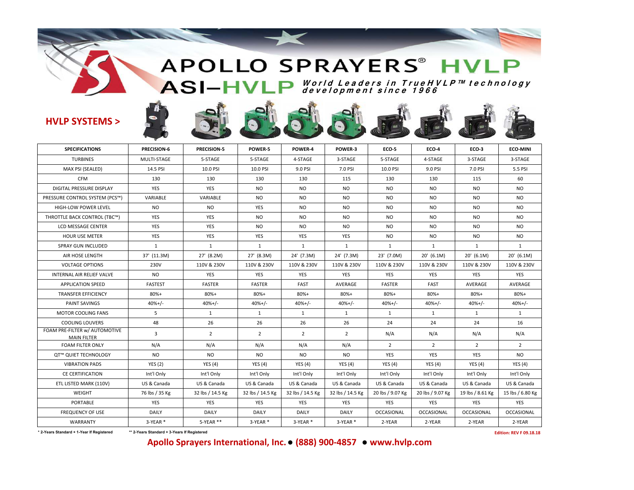# APOLLO SPRAYERS<sup>®</sup> HVLP **<sup>W</sup> orld Le <sup>a</sup> de rs in T rue <sup>H</sup> <sup>V</sup> LP™ t <sup>e</sup> <sup>c</sup> hnology development since 1966**

## **HVLP SYSTEMS >**

 $\frac{1}{2}$ 

| <b>SPECIFICATIONS</b>                               | PRECISION-6    | <b>PRECISION-5</b> | POWER-5          | POWER-4          | POWER-3          | ECO-5             | <b>ECO-4</b>     | ECO-3             | <b>ECO-MINI</b>   |  |
|-----------------------------------------------------|----------------|--------------------|------------------|------------------|------------------|-------------------|------------------|-------------------|-------------------|--|
| <b>TURBINES</b>                                     | MULTI-STAGE    | 5-STAGE            | 5-STAGE          | 4-STAGE          | 3-STAGE          | 5-STAGE           | 4-STAGE          | 3-STAGE           | 3-STAGE           |  |
| MAX PSI (SEALED)                                    | 14.5 PSI       | 10.0 PSI           | 10.0 PSI         | 9.0 PSI          | 7.0 PSI          | 10.0 PSI          | 9.0 PSI          | 7.0 PSI           | 5.5 PSI           |  |
| <b>CFM</b>                                          | 130            | 130                | 130              | 130              | 115              | 130               | 130              | 115               | 60                |  |
| DIGITAL PRESSURE DISPLAY                            | <b>YES</b>     | <b>YES</b>         | <b>NO</b>        | N <sub>O</sub>   | <b>NO</b>        | <b>NO</b>         | N <sub>O</sub>   | N <sub>O</sub>    | NO                |  |
| PRESSURE CONTROL SYSTEM (PCS™)                      | VARIABLE       | VARIABLE           | NO.              | N <sub>O</sub>   | N <sub>O</sub>   | NO.               | <b>NO</b>        | NO.               | NO.               |  |
| HIGH-LOW POWER LEVEL                                | N <sub>O</sub> | <b>NO</b>          | YES              | N <sub>O</sub>   | <b>NO</b>        | <b>NO</b>         | N <sub>O</sub>   | <b>NO</b>         | NO                |  |
| THROTTLE BACK CONTROL (TBC™)                        | <b>YES</b>     | YES                | <b>NO</b>        | N <sub>O</sub>   | N <sub>O</sub>   | NO.               | <b>NO</b>        | NO.               | NO.               |  |
| LCD MESSAGE CENTER                                  | <b>YES</b>     | <b>YES</b>         | <b>NO</b>        | N <sub>O</sub>   | <b>NO</b>        | <b>NO</b>         | <b>NO</b>        | <b>NO</b>         | NO.               |  |
| <b>HOUR USE METER</b>                               | YES            | YES                | YES              | YES              | YES              | <b>NO</b>         | <b>NO</b>        | <b>NO</b>         | <b>NO</b>         |  |
| <b>SPRAY GUN INCLUDED</b>                           | 1              | $\mathbf{1}$       | 1                | 1                | 1                | $\mathbf{1}$      | 1                | 1                 | $\mathbf{1}$      |  |
| AIR HOSE LENGTH                                     | 37' (11.3M)    | 27' (8.2M)         | 27' (8.3M)       | 24' (7.3M)       | 24' (7.3M)       | 23' (7.0M)        | $20'$ (6.1M)     | $20'$ (6.1M)      | $20'$ (6.1M)      |  |
| <b>VOLTAGE OPTIONS</b>                              | 230V           | 110V & 230V        | 110V & 230V      | 110V & 230V      | 110V & 230V      | 110V & 230V       | 110V & 230V      | 110V & 230V       | 110V & 230V       |  |
| INTERNAL AIR RELIEF VALVE                           | <b>NO</b>      | YES                | YES              | YES              | YES              | YES               | YES              | YES               | YES               |  |
| <b>APPLICATION SPEED</b>                            | <b>FASTEST</b> | <b>FASTER</b>      | <b>FASTER</b>    | FAST             | AVERAGE          | <b>FASTER</b>     | <b>FAST</b>      | AVERAGE           | AVERAGE           |  |
| <b>TRANSFER EFFICIENCY</b>                          | 80%+           | 80%+               | $80%+$           | 80%+             | 80%+             | 80%+              | $80%+$           | 80%+              | 80%+              |  |
| PAINT SAVINGS                                       | $40%+/-$       | $40%+/-$           | $40%+/-$         | $40%+/-$         | $40%+/-$         | $40%+/-$          | $40%+/-$         | $40%+/-$          | $40%+/-$          |  |
| <b>MOTOR COOLING FANS</b>                           | 5              | 1                  | $\mathbf{1}$     | 1                | 1                | $\mathbf{1}$      | 1                | 1                 | $\mathbf{1}$      |  |
| <b>COOLING LOUVERS</b>                              | 48             | 26                 | 26               | 26               | 26               | 24                | 24               | 24                | 16                |  |
| FOAM PRE-FILTER w/ AUTOMOTIVE<br><b>MAIN FILTER</b> | $\overline{3}$ | $\overline{2}$     | $\overline{2}$   | $\overline{2}$   | $\overline{2}$   | N/A               | N/A              | N/A               | N/A               |  |
| <b>FOAM FILTER ONLY</b>                             | N/A            | N/A                | N/A              | N/A              | N/A              | $\overline{2}$    | $\overline{2}$   | $\overline{2}$    | 2                 |  |
| QT™ QUIET TECHNOLOGY                                | <b>NO</b>      | <b>NO</b>          | <b>NO</b>        | <b>NO</b>        | <b>NO</b>        | YES               | YES              | YES               | <b>NO</b>         |  |
| <b>VIBRATION PADS</b>                               | <b>YES (2)</b> | YES $(4)$          | <b>YES (4)</b>   | <b>YES</b> (4)   | <b>YES (4)</b>   | <b>YES</b> (4)    | YES(4)           | <b>YES</b> (4)    | YES $(4)$         |  |
| <b>CE CERTIFICATION</b>                             | Int'l Only     | Int'l Only         | Int'l Only       | Int'l Only       | Int'l Only       | Int'l Only        | Int'l Only       | Int'l Only        | Int'l Only        |  |
| ETL LISTED MARK (110V)                              | US & Canada    | US & Canada        | US & Canada      | US & Canada      | US & Canada      | US & Canada       | US & Canada      | US & Canada       | US & Canada       |  |
| <b>WEIGHT</b>                                       | 76 lbs / 35 Kg | 32 lbs / 14.5 Kg   | 32 lbs / 14.5 Kg | 32 lbs / 14.5 Kg | 32 lbs / 14.5 Kg | 20 lbs / 9.07 Kg  | 20 lbs / 9.07 Kg | 19 lbs / 8.61 Kg  | 15 lbs / 6.80 Kg  |  |
| <b>PORTABLE</b>                                     | <b>YES</b>     | YES                | <b>YES</b>       | <b>YES</b>       | YES              | YES               | YES              | <b>YES</b>        | YES               |  |
| <b>FREQUENCY OF USE</b>                             | <b>DAILY</b>   | <b>DAILY</b>       | <b>DAILY</b>     | DAILY            | DAILY            | <b>OCCASIONAL</b> | OCCASIONAL       | <b>OCCASIONAL</b> | <b>OCCASIONAL</b> |  |
| WARRANTY                                            | 3-YEAR *       | 5-YEAR **          | 3-YEAR*          | 3-YEAR*          | 3-YEAR *         | 2-YEAR            | 2-YEAR           | 2-YEAR            | 2-YEAR            |  |
|                                                     |                |                    |                  |                  |                  |                   |                  |                   |                   |  |

**\* 2-Years Standard + 1-Year If Registered \*\* 2-Years Standard + 3-Years If Registered Edition: REV F 09.18.18**

## **Apollo Sprayers International, Inc.● (888) 900‐4857 ● www.hvlp.com**